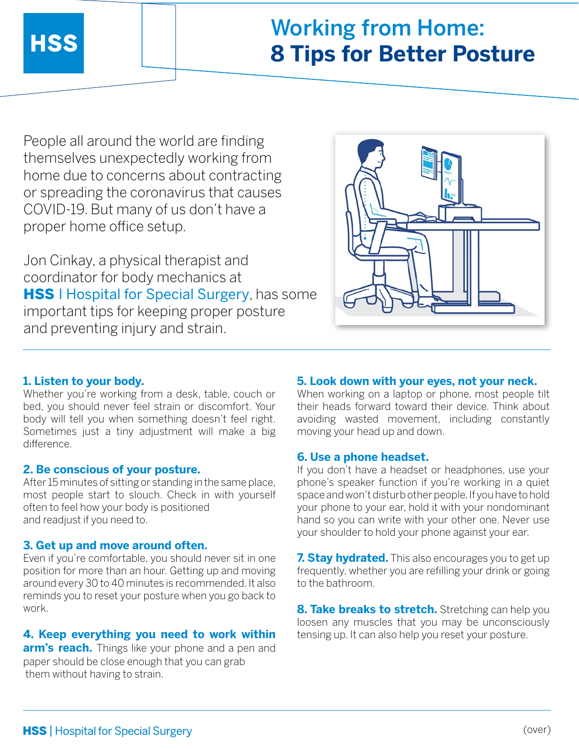# Working from Home: **8 Tips for Better Posture**

People all around the world are finding themselves unexpectedly working from home due to concerns about contracting or spreading the coronavirus that causes COVID-19. But many of us don't have a proper home office setup.

Jon Cinkay, a physical therapist and coordinator for body mechanics at **HSS** I Hospital for Special Surgery, has some important tips for keeping proper posture and preventing injury and strain.



## **1. Listen to your body.**

Whether you're working from a desk, table, couch or bed, you should never feel strain or discomfort. Your body will tell you when something doesn't feel right. Sometimes just a tiny adjustment will make a big difference.

## **2. Be conscious of your posture.**

After 15 minutes of sitting or standing in the same place, most people start to slouch. Check in with yourself often to feel how your body is positioned and readjust if you need to.

#### **3. Get up and move around often.**

Even if you're comfortable, you should never sit in one position for more than an hour. Getting up and moving around every 30 to 40 minutes is recommended. It also reminds you to reset your posture when you go back to work.

## **4. Keep everything you need to work within**

**arm's reach.** Things like your phone and a pen and paper should be close enough that you can grab them without having to strain.

### **5. Look down with your eyes, not your neck.**

When working on a laptop or phone, most people tilt their heads forward toward their device. Think about avoiding wasted movement, including constantly moving your head up and down.

#### **6. Use a phone headset.**

If you don't have a headset or headphones, use your phone's speaker function if you're working in a quiet space and won't disturb other people. If you have to hold your phone to your ear, hold it with your nondominant hand so you can write with your other one. Never use your shoulder to hold your phone against your ear.

**7. Stay hydrated.** This also encourages you to get up frequently, whether you are refilling your drink or going to the bathroom.

**8. Take breaks to stretch.** Stretching can help you loosen any muscles that you may be unconsciously tensing up. It can also help you reset your posture.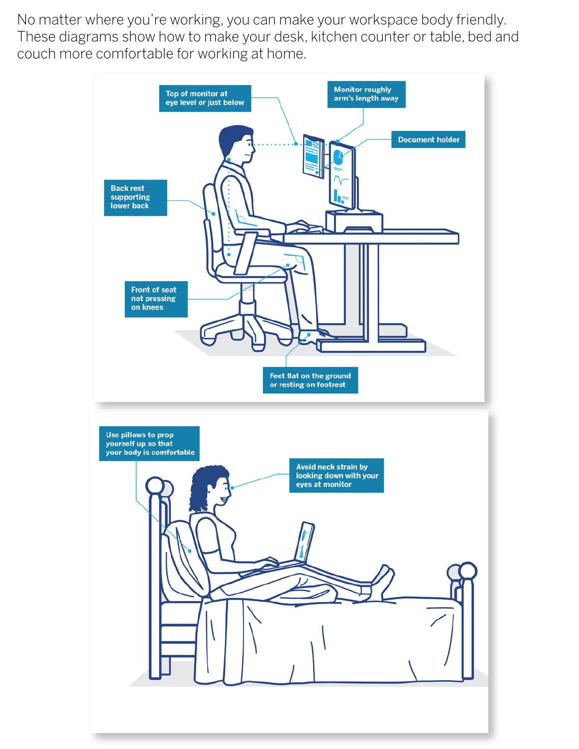No matter where you're working, you can make your workspace body friendly. These diagrams show how to make your desk, kitchen counter or table, bed and couch more comfortable for working at home.

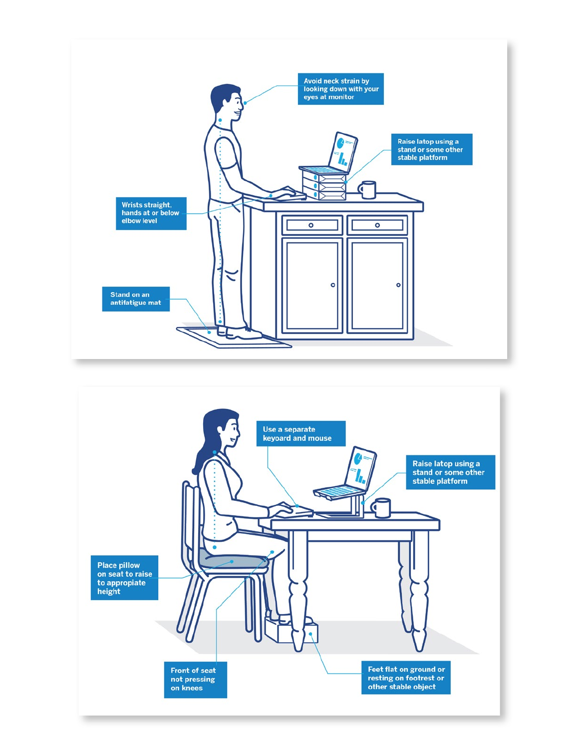